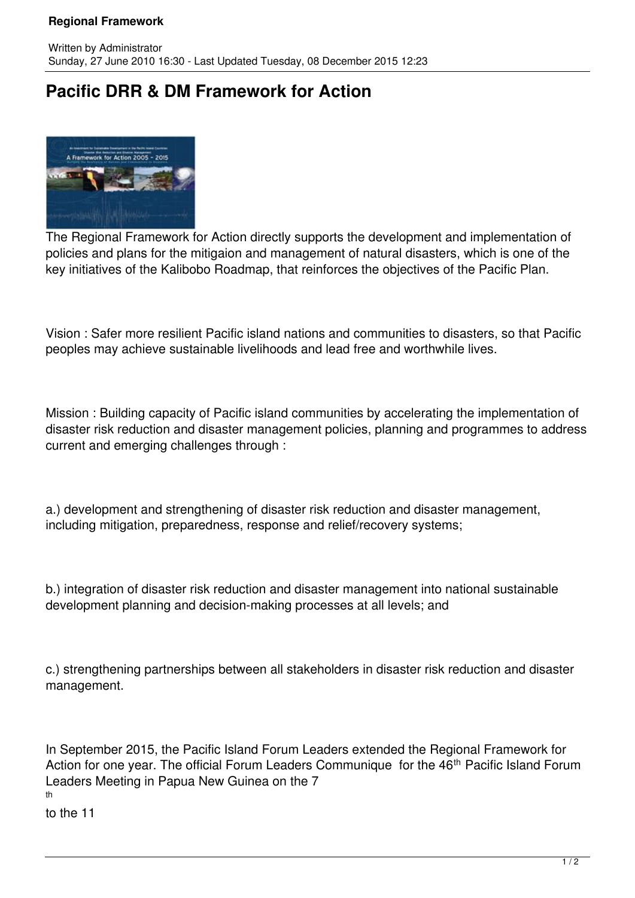## **Regional Framework**

## **Pacific DRR & DM Framework for Action**



The Regional Framework for Action directly supports the development and implementation of policies and plans for the mitigaion and management of natural disasters, which is one of the key initiatives of the Kalibobo Roadmap, that reinforces the objectives of the Pacific Plan.

Vision : Safer more resilient Pacific island nations and communities to disasters, so that Pacific peoples may achieve sustainable livelihoods and lead free and worthwhile lives.

Mission : Building capacity of Pacific island communities by accelerating the implementation of disaster risk reduction and disaster management policies, planning and programmes to address current and emerging challenges through :

a.) development and strengthening of disaster risk reduction and disaster management, including mitigation, preparedness, response and relief/recovery systems;

b.) integration of disaster risk reduction and disaster management into national sustainable development planning and decision-making processes at all levels; and

c.) strengthening partnerships between all stakeholders in disaster risk reduction and disaster management.

In September 2015, the Pacific Island Forum Leaders extended the Regional Framework for Action for one year. The official Forum Leaders Communique for the 46<sup>th</sup> Pacific Island Forum Leaders Meeting in Papua New Guinea on the 7 th

to the 11